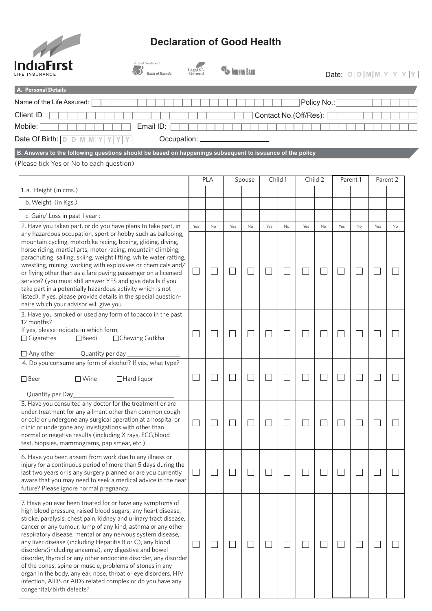

## **Declaration of Good Health**

| IndiaFirst                                                                                                                                                                                                                                                                                                                                                                                                                                                                                                     | A Joint Venture of<br><b>Bank of Baroda</b> | <b>PU ANDHRA BANK</b>                                              |        |     |              |        |        | Date: $D$ D $M$ M Y   |              |              |                          |                |               |
|----------------------------------------------------------------------------------------------------------------------------------------------------------------------------------------------------------------------------------------------------------------------------------------------------------------------------------------------------------------------------------------------------------------------------------------------------------------------------------------------------------------|---------------------------------------------|--------------------------------------------------------------------|--------|-----|--------------|--------|--------|-----------------------|--------------|--------------|--------------------------|----------------|---------------|
| A. Personal Details                                                                                                                                                                                                                                                                                                                                                                                                                                                                                            |                                             |                                                                    |        |     |              |        |        |                       |              |              |                          |                |               |
| Name of the Life Assured:                                                                                                                                                                                                                                                                                                                                                                                                                                                                                      |                                             |                                                                    |        |     |              |        |        |                       | Policy No.:  |              |                          |                |               |
| Client ID                                                                                                                                                                                                                                                                                                                                                                                                                                                                                                      |                                             |                                                                    |        |     |              |        |        | Contact No.(Off/Res): |              |              |                          |                |               |
| Mobile:                                                                                                                                                                                                                                                                                                                                                                                                                                                                                                        | Email ID:                                   |                                                                    |        |     |              |        |        |                       |              |              |                          |                |               |
| Date Of Birth: $\boxed{\Box \Box \Box \parallel \mathbb{M} \parallel \mathbb{M}}$<br>Y                                                                                                                                                                                                                                                                                                                                                                                                                         | Occupation:                                 |                                                                    |        |     |              |        |        |                       |              |              |                          |                |               |
| B. Answers to the following questions should be based on happenings subsequent to issuance of the policy                                                                                                                                                                                                                                                                                                                                                                                                       |                                             |                                                                    |        |     |              |        |        |                       |              |              |                          |                |               |
| (Please tick Yes or No to each question)                                                                                                                                                                                                                                                                                                                                                                                                                                                                       |                                             |                                                                    |        |     |              |        |        |                       |              |              |                          |                |               |
|                                                                                                                                                                                                                                                                                                                                                                                                                                                                                                                |                                             | <b>PLA</b><br>Child 1<br>Child 2<br>Spouse<br>Parent 1<br>Parent 2 |        |     |              |        |        |                       |              |              |                          |                |               |
| 1. a. Height (in cms.)                                                                                                                                                                                                                                                                                                                                                                                                                                                                                         |                                             |                                                                    |        |     |              |        |        |                       |              |              |                          |                |               |
| b. Weight (in Kgs.)                                                                                                                                                                                                                                                                                                                                                                                                                                                                                            |                                             |                                                                    |        |     |              |        |        |                       |              |              |                          |                |               |
| c. Gain/Loss in past 1 year :                                                                                                                                                                                                                                                                                                                                                                                                                                                                                  |                                             |                                                                    |        |     |              |        |        |                       |              |              |                          |                |               |
| 2. Have you taken part, or do you have plans to take part, in<br>any hazardous occupation, sport or hobby such as ballooing,<br>mountain cycling, motorbike racing, boxing, gliding, diving,                                                                                                                                                                                                                                                                                                                   |                                             | Yes                                                                | No     | Yes | No           | Yes    | No     | Yes                   | No           | Yes          | <b>No</b>                | Yes            | No            |
| horse riding, martial arts, motor racing, mountain climbing,<br>parachuting, sailing, skiing, weight lifting, white water rafting,<br>wrestling, mining, working with explosives or chemicals and/<br>or flying other than as a fare paying passenger on a licensed<br>service? (you must still answer YES and give details if you<br>take part in a potentially hazardous activity which is not<br>listed). If yes, please provide details in the special question-<br>naire which your advisor will give you |                                             | $\Box$                                                             | $\Box$ |     | $\Box$       |        | $\Box$ |                       | $\Box$       | $\mathbf{L}$ | $\overline{\phantom{a}}$ | $\mathbb{R}^n$ | ×.            |
| 3. Have you smoked or used any form of tobacco in the past<br>12 months?<br>If yes, please indicate in which form:<br>□ Chewing Gutkha<br>$\Box$ Cigarettes<br>$\Box$ Beedi                                                                                                                                                                                                                                                                                                                                    |                                             | $\overline{\phantom{a}}$                                           | $\Box$ |     | $\mathbf{I}$ | $\sim$ | $\Box$ |                       | $\mathbf{L}$ |              | $\Box$                   | L              | $\mathcal{L}$ |
| $\Box$ Any other<br>Quantity per day ________________                                                                                                                                                                                                                                                                                                                                                                                                                                                          |                                             |                                                                    |        |     |              |        |        |                       |              |              |                          |                |               |
| 4. Do you consume any form of alcohol? If yes, what type?                                                                                                                                                                                                                                                                                                                                                                                                                                                      |                                             |                                                                    |        |     |              |        |        |                       |              |              |                          |                |               |
| □Hard liquor<br>$\Box$ Beer<br>$\Box$ Wine                                                                                                                                                                                                                                                                                                                                                                                                                                                                     |                                             |                                                                    | $\Box$ |     |              |        |        |                       | $\mathbf{L}$ |              | Ξ                        | $\mathbf{L}$   | ×.            |
| Quantity per Day                                                                                                                                                                                                                                                                                                                                                                                                                                                                                               |                                             |                                                                    |        |     |              |        |        |                       |              |              |                          |                |               |
| 5. Have you consulted any doctor for the treatment or are<br>under treatment for any ailment other than common cough                                                                                                                                                                                                                                                                                                                                                                                           |                                             |                                                                    |        |     |              |        |        |                       |              |              |                          |                |               |

 $\Box$ 

 $\Box$ 

 $\Box$ 

 $\Box$ 

 $\Box$ 

 $\Box$ 

 $\Box$ 

 $\Box$ 

 $\Box$ 

 $\Box$ 

 $\Box$ 

 $\Box$ 

 $\Box$ 

 $\Box$ 

 $\Box$ 

 $\Box$ 

 $\Box$ 

 $\Box$ 

 $\Box$ 

 $\Box$ 

 $\Box$ 

 $\Box$ 

 $\Box$ 

 $\Box$ 

 $\Box$ 

 $\Box$ 

 $\Box$ 

 $\Box$ 

 $\Box$ 

 $\Box$ 

| 6. Have you been absent from work due to any illness or<br>injury for a continuous period of more than 5 days during the<br>last two years or is any surgery planned or are you currently<br>aware that you may need to seek a medical advice in the near<br>future? Please ignore normal pregnancy.                                                                                                                                                                                                                                                                                                                                                                                                                                          |  |  |
|-----------------------------------------------------------------------------------------------------------------------------------------------------------------------------------------------------------------------------------------------------------------------------------------------------------------------------------------------------------------------------------------------------------------------------------------------------------------------------------------------------------------------------------------------------------------------------------------------------------------------------------------------------------------------------------------------------------------------------------------------|--|--|
| 7. Have you ever been treated for or have any symptoms of<br>high blood pressure, raised blood sugars, any heart disease,<br>stroke, paralysis, chest pain, kidney and urinary tract disease,<br>cancer or any tumour, lump of any kind, asthma or any other<br>respiratory disease, mental or any nervous system disease,<br>any liver disease (including Hepatitis B or C), any blood<br>disorders (including anaemia), any digestive and bowel<br>disorder, thyroid or any other endocrine disorder, any disorder<br>of the bones, spine or muscle, problems of stones in any<br>organ in the body, any ear, nose, throat or eye disorders, HIV<br>infection, AIDS or AIDS related complex or do you have any<br>congenital/birth defects? |  |  |

or cold or undergone any surgical operation at a hospital or clinic or undergone any invistigations with other than normal or negative results (including X rays, ECG,blood

test, biopsies, mammograms, pap smear, etc.)